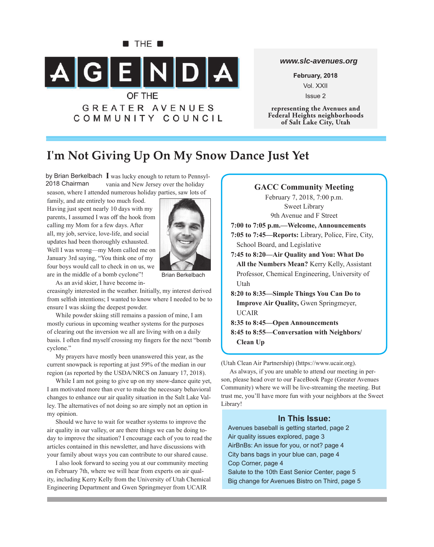

### *www.slc-avenues.org*

**February, 2018** Vol. XXII Issue 2

**representing the Avenues and Federal Heights neighborhoods of Salt Lake City, Utah**

# **I'm Not Giving Up On My Snow Dance Just Yet**

by Brian Berkelbach I was lucky enough to return to Pennsylvania and New Jersey over the holiday season, where I attended numerous holiday parties, saw lots of 2018 Chairman

family, and ate entirely too much food. Having just spent nearly 10 days with my parents, I assumed I was off the hook from calling my Mom for a few days. After all, my job, service, love-life, and social updates had been thoroughly exhausted. Well I was wrong—my Mom called me on January 3rd saying, "You think one of my four boys would call to check in on us, we are in the middle of a bomb cyclone"!



Brian Berkelbach

As an avid skier, I have become increasingly interested in the weather. Initially, my interest derived from selfish intentions; I wanted to know where I needed to be to ensure I was skiing the deepest powder.

While powder skiing still remains a passion of mine, I am mostly curious in upcoming weather systems for the purposes of clearing out the inversion we all are living with on a daily basis. I often find myself crossing my fingers for the next "bomb" cyclone."

My prayers have mostly been unanswered this year, as the current snowpack is reporting at just 59% of the median in our region (as reported by the USDA/NRCS on January 17, 2018).

While I am not going to give up on my snow-dance quite yet, I am motivated more than ever to make the necessary behavioral changes to enhance our air quality situation in the Salt Lake Valley. The alternatives of not doing so are simply not an option in my opinion.

Should we have to wait for weather systems to improve the air quality in our valley, or are there things we can be doing today to improve the situation? I encourage each of you to read the articles contained in this newsletter, and have discussions with your family about ways you can contribute to our shared cause.

I also look forward to seeing you at our community meeting on February 7th, where we will hear from experts on air quality, including Kerry Kelly from the University of Utah Chemical Engineering Department and Gwen Springmeyer from UCAIR

### **GACC Community Meeting**

February 7, 2018, 7:00 p.m. Sweet Library 9th Avenue and F Street

**7:00 to 7:05 p.m.—Welcome, Announcements**

**7:05 to 7:45—Reports:** Library, Police, Fire, City, School Board, and Legislative

**7:45 to 8:20—Air Quality and You: What Do All the Numbers Mean?** Kerry Kelly, Assistant Professor, Chemical Engineering, University of Utah

**8:20 to 8:35—Simple Things You Can Do to Improve Air Quality,** Gwen Springmeyer, UCAIR

- **8:35 to 8:45—Open Announcements**
- **8:45 to 8:55—Conversation with Neighbors/ Clean Up**

(Utah Clean Air Partnership) (https://www.ucair.org).

As always, if you are unable to attend our meeting in person, please head over to our FaceBook Page (Greater Avenues Community) where we will be live-streaming the meeting. But trust me, you'll have more fun with your neighbors at the Sweet Library!

### **In This Issue:**

Avenues baseball is getting started, page 2 Air quality issues explored, page 3 AirBnBs: An issue for you, or not? page 4 City bans bags in your blue can, page 4 Cop Corner, page 4 Salute to the 10th East Senior Center, page 5 Big change for Avenues Bistro on Third, page 5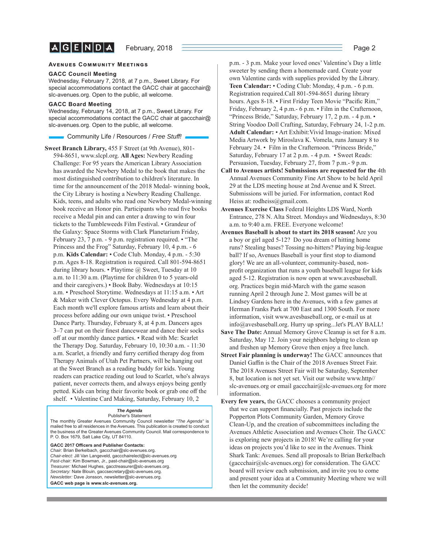$A$  $G$  $E$  $N$  $D$  $A$ 

#### **AVENUES COMMUNITY MEETINGS**

#### **GACC Council Meeting**

Wednesday, February 7, 2018, at 7 p.m., Sweet Library. For special accommodations contact the GACC chair at gaccchair@ slc-avenues.org. Open to the public, all welcome.

#### **GACC Board Meeting**

Wednesday, February 14, 2018, at 7 p.m., Sweet Library. For special accommodations contact the GACC chair at gaccchair@ slc-avenues.org. Open to the public, all welcome.

Community Life / Resources / *Free Stuff !*

**Sweet Branch Library,** 455 F Street (at 9th Avenue), 801- 594-8651, www.slcpl.org. **All Ages:** Newbery Reading Challenge: For 95 years the American Library Association has awarded the Newbery Medal to the book that makes the most distinguished contribution to children's literature. In time for the announcement of the 2018 Medal- winning book, the City Library is hosting a Newbery Reading Challenge. Kids, teens, and adults who read one Newbery Medal-winning book receive an Honor pin. Participants who read five books receive a Medal pin and can enter a drawing to win four tickets to the Tumbleweeds Film Festival. • Grandeur of the Galaxy: Space Storms with Clark Planetarium Friday, February 23, 7 p.m. - 9 p.m. registration required. • "The Princess and the Frog" Saturday, February 10, 4 p.m. - 6 p.m. **Kids Calendar:** • Code Club. Monday, 4 p.m. - 5:30 p.m. Ages 8-18. Registration is required. Call 801-594-8651 during library hours. • Playtime @ Sweet, Tuesday at 10 a.m. to 11:30 a.m. (Playtime for children 0 to 5 years-old and their caregivers.) • Book Baby. Wednesdays at 10:15 a.m. • Preschool Storytime. Wednesdays at 11:15 a.m. • Art & Maker with Clever Octopus. Every Wednesday at 4 p.m. Each month we'll explore famous artists and learn about their process before adding our own unique twist. • Preschool Dance Party. Thursday, February 8, at 4 p.m. Dancers ages  $3-7$  can put on their finest dancewear and dance their socks off at our monthly dance parties. • Read with Me: Scarlet the Therapy Dog. Saturday, February 10, 10:30 a.m. - 11:30 a.m. Scarlet, a friendly and furry certified therapy dog from Therapy Animals of Utah Pet Partners, will be hanging out at the Sweet Branch as a reading buddy for kids. Young readers can practice reading out loud to Scarlet, who's always patient, never corrects them, and always enjoys being gently petted. Kids can bring their favorite book or grab one off the shelf. • Valentine Card Making, Saturday, February 10, 2

#### *The Agenda* Publisher's Statement

The monthly Greater Avenues Community Council newsletter *"The Agenda"* is mailed free to all residences in the Avenues. This publication is created to conduct the business of the Greater Avenues Community Council. Mail correspondence to P. O. Box 1679, Salt Lake City, UT 84110.

GACC 2017 Officers and Publisher Contacts: *Chair:* Brian Berkelbach, gaccchair@slc-avenues.org. *Chair-elect:* Jill Van Langeveld, gaccchairelect@slc-avenues.org *Past-chair:* Kim Bowman, Jr., past-chair@slc-avenues.org *Treasurer:* Michael Hughes, gacctreasurer@slc-avenues.org. *Secretary:* Nate Blouin, gaccsecretary@slc-avenues.org. *Newsletter:* Dave Jonsson, newsletter@slc-avenues.org. **GACC web page is www.slc-avenues.org.**

p.m. - 3 p.m. Make your loved ones' Valentine's Day a little sweeter by sending them a homemade card. Create your own Valentine cards with supplies provided by the Library. **Teen Calendar:** • Coding Club: Monday, 4 p.m. - 6 p.m. Registration required.Call 801-594-8651 during library hours. Ages 8-18. • First Friday Teen Movie "Pacific Rim," Friday, February 2, 4 p.m.- 6 p.m. • Film in the Crafternoon, "Princess Bride," Saturday, February 17, 2 p.m. - 4 p.m. • String Voodoo Doll Crafting, Saturday, February 24, 1-2 p.m. **Adult Calendar:** • Art Exhibit:Vivid Image-ination: Mixed Media Artwork by Miroslava K. Vomela, runs January 8 to February 24. • Film in the Crafternoon. "Princess Bride," Saturday, February 17 at 2 p.m. - 4 p.m. • Sweet Reads: Persuasion, Tuesday, February 27, from 7 p.m.- 9 p.m.

- **Call to Avenues artists! Submissions are requested for the** 4th Annual Avenues Community Fine Art Show to be held April 29 at the LDS meeting house at 2nd Avenue and K Street. Submissions will be juried. For information, contact Rod Heiss at: rodheiss@gmail.com.
- **Avenues Exercise Class** Federal Heights LDS Ward, North Entrance, 278 N. Alta Street. Mondays and Wednesdays, 8:30 a.m. to 9:40 a.m. FREE. Everyone welcome!
- **Avenues Baseball is about to start its 2018 season!** Are you a boy or girl aged 5-12? Do you dream of hitting home runs? Stealing bases? Tossing no-hitters? Playing big-league ball? If so, Avenues Baseball is your first stop to diamond glory! We are an all-volunteer, community-based, nonprofit organization that runs a youth baseball league for kids aged 5-12. Registration is now open at www.avesbaseball. org. Practices begin mid-March with the game season running April 2 through June 2. Most games will be at Lindsey Gardens here in the Avenues, with a few games at Herman Franks Park at 700 East and 1300 South. For more information, visit www.avesbaseball.org, or e-mail us at info@avesbaseball.org. Hurry up spring...let's PLAY BALL!
- **Save The Date:** Annual Memory Grove Cleanup is set for 8 a.m. Saturday, May 12. Join your neighbors helping to clean up and freshen up Memory Grove then enjoy a free lunch.
- **Street Fair planning is underway!** The GACC announces that Daniel Gaffin is the Chair of the 2018 Avenues Street Fair. The 2018 Avenues Street Fair will be Saturday, September 8, but location is not yet set. Visit our website www.http// slc-avenues.org or email gaccchair@slc-avenues.org for more information.
- **Every few years,** the GACC chooses a community project that we can support financially. Past projects include the Popperton Plots Community Garden, Memory Grove Clean-Up, and the creation of subcommittees including the Avenues Athletic Association and Avenues Choir. The GACC is exploring new projects in 2018! We're calling for your ideas on projects you'd like to see in the Avenues. Think Shark Tank: Avenues. Send all proposals to Brian Berkelbach (gaccchair@slc-avenues.org) for consideration. The GACC board will review each submission, and invite you to come and present your idea at a Community Meeting where we will then let the community decide!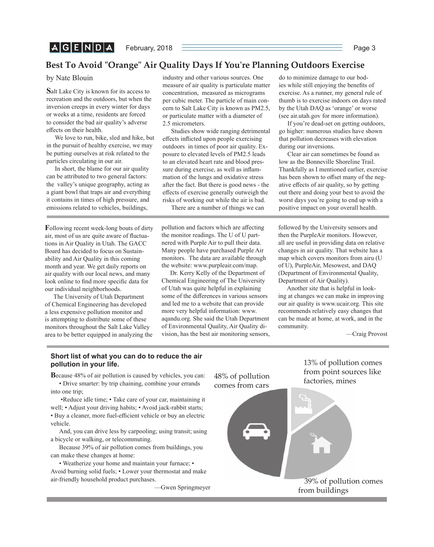## **Best To Avoid "Orange" Air Quality Days If You're Planning Outdoors Exercise**

by Nate Blouin

**S**alt Lake City is known for its access to recreation and the outdoors, but when the inversion creeps in every winter for days or weeks at a time, residents are forced to consider the bad air quality's adverse effects on their health.

We love to run, bike, sled and hike, but in the pursuit of healthy exercise, we may be putting ourselves at risk related to the particles circulating in our air.

In short, the blame for our air quality can be attributed to two general factors: the valley's unique geography, acting as a giant bowl that traps air and everything it contains in times of high pressure, and emissions related to vehicles, buildings,

**F**ollowing recent week-long bouts of dirty air, most of us are quite aware of fluctuations in Air Quality in Utah. The GACC Board has decided to focus on Sustainability and Air Quality in this coming month and year. We get daily reports on air quality with our local news, and many look online to find more specific data for our individual neighborhoods.

The University of Utah Department of Chemical Engineering has developed a less expensive pollution monitor and is attempting to distribute some of these monitors throughout the Salt Lake Valley area to be better equipped in analyzing the industry and other various sources. One measure of air quality is particulate matter concentration, measured as micrograms per cubic meter. The particle of main concern to Salt Lake City is known as PM2.5, or particulate matter with a diameter of 2.5 micrometers.

Studies show wide ranging detrimental effects inflicted upon people exercising outdoors in times of poor air quality. Exposure to elevated levels of PM2.5 leads to an elevated heart rate and blood pressure during exercise, as well as inflammation of the lungs and oxidative stress after the fact. But there is good news - the effects of exercise generally outweigh the risks of working out while the air is bad.

There are a number of things we can

pollution and factors which are affecting the monitor readings. The U of U partnered with Purple Air to pull their data. Many people have purchased Purple Air monitors. The data are available through the website: www.purpleair.com/map.

Dr. Kerry Kelly of the Department of Chemical Engineering of The University of Utah was quite helpful in explaining some of the differences in various sensors and led me to a website that can provide more very helpful information: www. aqandu.org. She said the Utah Department of Environmental Quality, Air Quality division, has the best air monitoring sensors, do to minimize damage to our bodies while still enjoying the benefits of exercise. As a runner, my general rule of thumb is to exercise indoors on days rated by the Utah DAQ as 'orange' or worse (see air.utah.gov for more information).

If you're dead-set on getting outdoors, go higher: numerous studies have shown that pollution decreases with elevation during our inversions.

Clear air can sometimes be found as low as the Bonneville Shoreline Trail. Thankfully as I mentioned earlier, exercise has been shown to offset many of the negative effects of air quality, so by getting out there and doing your best to avoid the worst days you're going to end up with a positive impact on your overall health.

followed by the University sensors and then the PurpleAir monitors. However, all are useful in providing data on relative changes in air quality. That website has a map which covers monitors from airu (U of U), PurpleAir, Mesowest, and DAQ (Department of Environmental Quality, Department of Air Quality).

Another site that is helpful in looking at changes we can make in improving our air quality is www.ucair.org. This site recommends relatively easy changes that can be made at home, at work, and in the community.

> 13% of pollution comes from point sources like

—Craig Provost

### **Short list of what you can do to reduce the air pollution in your life.**

**B**ecause 48% of air pollution is caused by vehicles, you can: • Drive smarter: by trip chaining, combine your errands into one trip;

 •Reduce idle time; • Take care of your car, maintaining it well; • Adjust your driving habits; • Avoid jack-rabbit starts; • Buy a cleaner, more fuel-efficient vehicle or buy an electric vehicle.

And, you can drive less by carpooling; using transit; using a bicycle or walking, or telecommuting.

Because 39% of air pollution comes from buildings, you can make these changes at home:

• Weatherize your home and maintain your furnace; • Avoid burning solid fuels; • Lower your thermostat and make air-friendly household product purchases.

—Gwen Springmeyer

factories, mines 48% of pollution comes from cars

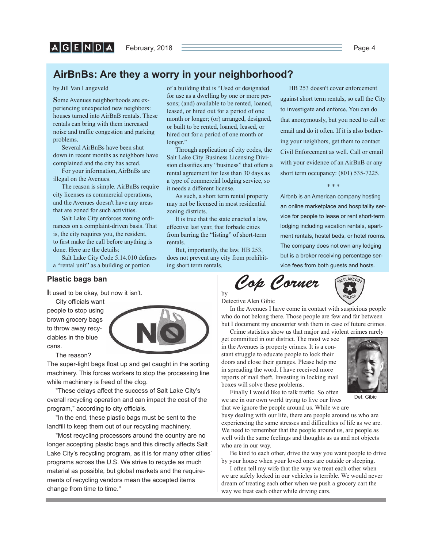## **AirBnBs: Are they a worry in your neighborhood?**

by Jill Van Langeveld

**S**ome Avenues neighborhoods are experiencing unexpected new neighbors: houses turned into AirBnB rentals. These rentals can bring with them increased noise and traffic congestion and parking problems.

Several AirBnBs have been shut down in recent months as neighbors have complained and the city has acted.

For your information, AirBnBs are illegal on the Avenues.

The reason is simple. AirBnBs require city licenses as commercial operations, and the Avenues doesn't have any areas that are zoned for such activities.

Salt Lake City enforces zoning ordinances on a complaint-driven basis. That is, the city requires you, the resident, to first make the call before anything is done. Here are the details:

Salt Lake City Code 5.14.010 defines a "rental unit" as a building or portion

### **Plastic bags ban**

**I**t used to be okay, but now it isn't.

City officials want people to stop using brown grocery bags to throw away recyclables in the blue cans.

The reason?

The super-light bags float up and get caught in the sorting machinery. This forces workers to stop the processing line while machinery is freed of the clog.

"These delays affect the success of Salt Lake City's overall recycling operation and can impact the cost of the program," according to city officials.

"In the end, these plastic bags must be sent to the landfill to keep them out of our recycling machinery.

"Most recycling processors around the country are no longer accepting plastic bags and this directly affects Salt Lake City's recycling program, as it is for many other cities' programs across the U.S. We strive to recycle as much material as possible, but global markets and the requirements of recycling vendors mean the accepted items change from time to time."

of a building that is "Used or designated for use as a dwelling by one or more persons; (and) available to be rented, loaned, leased, or hired out for a period of one month or longer; (or) arranged, designed, or built to be rented, loaned, leased, or hired out for a period of one month or longer."

Through application of city codes, the Salt Lake City Business Licensing Division classifies any "business" that offers a rental agreement for less than 30 days as a type of commercial lodging service, so it needs a different license.

As such, a short term rental property may not be licensed in most residential zoning districts.

It is true that the state enacted a law, effective last year, that forbade cities from barring the "listing" of short-term rentals.

But, importantly, the law, HB 253, does not prevent any city from prohibiting short term rentals.

by

HB 253 doesn't cover enforcement against short term rentals, so call the City to investigate and enforce. You can do that anonymously, but you need to call or email and do it often. If it is also bothering your neighbors, get them to contact Civil Enforcement as well. Call or email with your evidence of an AirBnB or any short term occupancy: (801) 535-7225.

\* \* \*

Airbnb is an American company hosting an online marketplace and hospitality service for people to lease or rent short-term lodging including vacation rentals, apartment rentals, hostel beds, or hotel rooms. The company does not own any lodging but is a broker receiving percentage service fees from both guests and hosts.

*Cop Corner*



Detective Alen Gibic

In the Avenues I have come in contact with suspicious people who do not belong there. Those people are few and far between but I document my encounter with them in case of future crimes.

Crime statistics show us that major and violent crimes rarely get committed in our district. The most we see in the Avenues is property crimes. It is a constant struggle to educate people to lock their doors and close their garages. Please help me in spreading the word. I have received more reports of mail theft. Investing in locking mail boxes will solve these problems.



Det. Gibic

Finally I would like to talk traffic. So often we are in our own world trying to live our lives

that we ignore the people around us. While we are busy dealing with our life, there are people around us who are experiencing the same stresses and difficulties of life as we are. We need to remember that the people around us, are people as well with the same feelings and thoughts as us and not objects who are in our way.

Be kind to each other, drive the way you want people to drive by your house when your loved ones are outside or sleeping.

I often tell my wife that the way we treat each other when we are safely locked in our vehicles is terrible. We would never dream of treating each other when we push a grocery cart the way we treat each other while driving cars.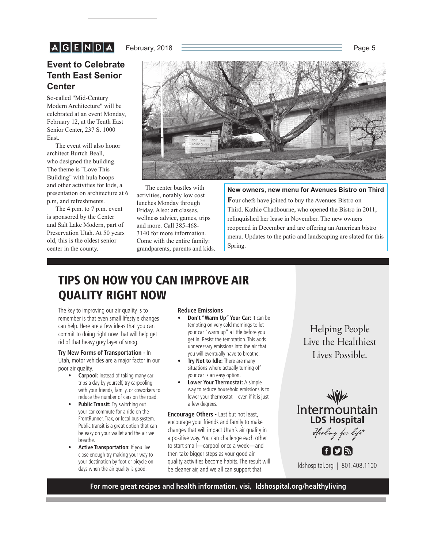# $A|G|E|N|D|A|$

### February, 2018 **Page 5**

## **Event to Celebrate Tenth East Senior Center**

**S**o-called "Mid-Century Modern Architecture" will be celebrated at an event Monday, February 12, at the Tenth East Senior Center, 237 S. 1000 East.

The event will also honor architect Burtch Beall, who designed the building. The theme is "Love This Building" with hula hoops and other activities for kids, a presentation on architecture at 6 p.m, and refreshments.

The 4 p.m. to 7 p.m. event is sponsored by the Center and Salt Lake Modern, part of Preservation Utah. At 50 years old, this is the oldest senior center in the county.



The center bustles with activities, notably low cost lunches Monday through Friday. Also: art classes, wellness advice, games, trips and more. Call 385-468- 3140 for more information. Come with the entire family: grandparents, parents and kids.

### **New owners, new menu for Avenues Bistro on Third**

**F**our chefs have joined to buy the Avenues Bistro on Third. Kathie Chadbourne, who opened the Bistro in 2011, relinquished her lease in November. The new owners reopened in December and are offering an American bistro menu. Updates to the patio and landscaping are slated for this Spring.

# **TIPS ON HOW YOU CAN IMPROVE AIR QUALITY RIGHT NOW**

The key to improving our air quality is to remember is that even small lifestyle changes can help. Here are a few ideas that you can commit to doing right now that will help get rid of that heavy grey layer of smog.

### **Try New Forms of Transportation -** In

Utah, motor vehicles are a major factor in our poor air quality.

- **Carpool:** Instead of taking many car trips a day by yourself, try carpooling with your friends, family, or coworkers to reduce the number of cars on the road.
- **Public Transit:** Try switching out your car commute for a ride on the FrontRunner, Trax, or local bus system. Public transit is a great option that can be easy on your wallet and the air we breathe.
- **Active Transportation:** If you live close enough try making your way to your destination by foot or bicycle on days when the air quality is good.

#### **Reduce Emissions**

- **Don't "Warm Up" Your Car:** It can be tempting on very cold mornings to let your car "warm up" a little before you get in. Resist the temptation. This adds unnecessary emissions into the air that you will eventually have to breathe.
- **Try Not to Idle:** There are many situations where actually turning off your car is an easy option.
- **Lower Your Thermostat:** A simple way to reduce household emissions is to lower your thermostat—even if it is just a few degrees.

**Encourage Others -** Last but not least, encourage your friends and family to make changes that will impact Utah's air quality in a positive way. You can challenge each other to start small—carpool once a week—and then take bigger steps as your good air quality activities become habits. The result will be cleaner air, and we all can support that.

Helping People<br>Live the Healthiest Lives Possible Lives Possible.

Intermountain Healing for life®

FDA ldshospital.org | 801.408.1100

**For more great recipes and health information, visi, ldshospital.org/healthyliving**